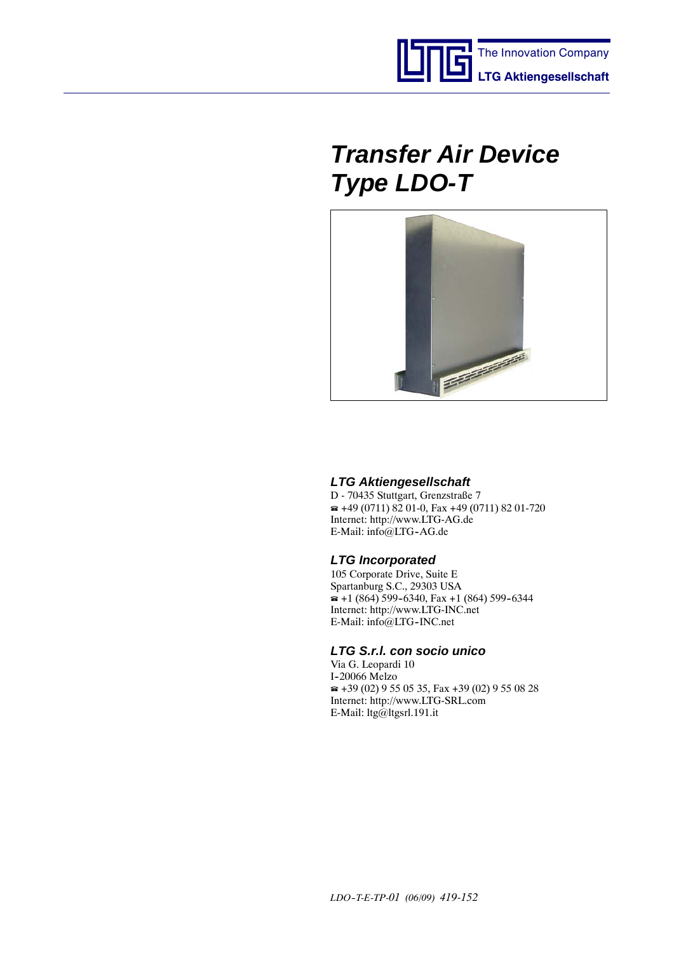



### *LTG Aktiengesellschaft*

D - 70435 Stuttgart, Grenzstraße 7  $\approx$  +49 (0711) 82 01-0, Fax +49 (0711) 82 01-720 Internet: http://www.LTG-AG.de E-Mail: info@LTG-AG.de

## *LTG Incorporated*

105 Corporate Drive, Suite E Spartanburg S.C., 29303 USA  $\bullet$  +1 (864) 599-6340, Fax +1 (864) 599-6344 Internet: http://www.LTG-INC.net E-Mail: info@LTG-INC.net

## *LTG S.r.l. con socio unico*

Via G. Leopardi 10 I-20066 Melzo  $\approx$  +39 (02) 9 55 05 35, Fax +39 (02) 9 55 08 28 Internet: http://www.LTG-SRL.com E-Mail: ltg@ltgsrl.191.it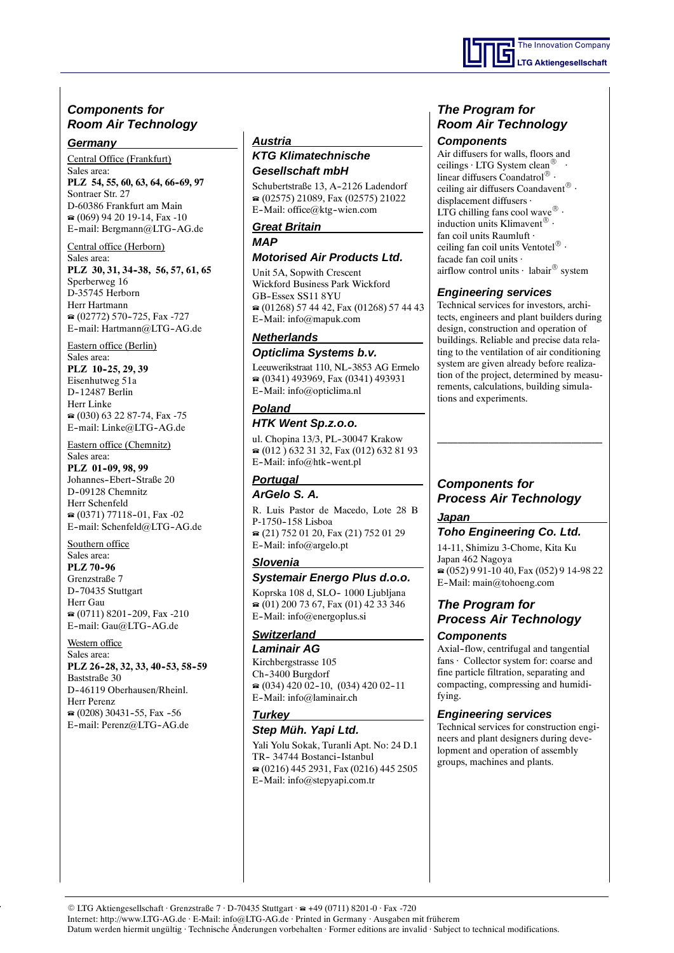## *Components for Room Air Technology*

#### *Germany*

Central Office (Frankfurt)

Sales area: PLZ 54, 55, 60, 63, 64, 66-69, 97 Sontraer Str. 27 D-60386 Frankfurt am Main (069) 94 20 19-14, Fax -10 E-mail: Bergmann@LTG-AG.de

#### Central office (Herborn)

Sales area: **PLZ 30, 31, 34--38, 56, 57, 61, 65** Sperberweg 16 D-35745 Herborn Herr Hartmann  $(02772)$  570-725, Fax -727 E-mail: Hartmann@LTG-AG.de

Eastern office (Berlin)

Sales area: **PLZ** 10-25, 29, 39 Eisenhutweg 51a D--12487 Berlin Herr Linke  $\approx$  (030) 63 22 87-74, Fax -75 E-mail: Linke@LTG-AG.de

Eastern office (Chemnitz)

Sales area: **PLZ** 01-09, 98, 99 Johannes-Ebert-Straße 20 D-09128 Chemnitz Herr Schenfeld  $\approx$  (0371) 77118-01, Fax -02 E-mail: Schenfeld@LTG-AG.de

Southern office

Sales area: **PLZ 70-96** Grenzstraße 7 D-70435 Stuttgart Herr Gau  $\approx$  (0711) 8201-209, Fax -210 E-mail: Gau@LTG-AG.de

#### Western office

Sales area: **PLZ 26-28, 32, 33, 40-53, 58-59** Baststraße 30 D--46119 Oberhausen/Rheinl. Herr Perenz  $\approx$  (0208) 30431-55, Fax -56 E-mail: Perenz@LTG-AG.de

#### *Austria*

### *KTG Klimatechnische Gesellschaft mbH*

Schubertstraße 13, A-2126 Ladendorf (02575) 21089, Fax (02575) 21022 E--Mail: office@ktg--wien.com

#### *Great Britain MAP*

#### *Motorised Air Products Ltd.*

Unit 5A, Sopwith Crescent Wickford Business Park Wickford GB-Essex SS11 8YU (01268) 57 44 42, Fax (01268) 57 44 43 E--Mail: info@mapuk.com

## *Netherlands*

*Opticlima Systems b.v.* Leeuwerikstraat 110, NL-3853 AG Ermelo (0341) 493969, Fax (0341) 493931 E--Mail: info@opticlima.nl

#### *Poland*

### *HTK Went Sp.z.o.o.*

ul. Chopina 13/3, PL-30047 Krakow (012 ) 632 31 32, Fax (012) 632 81 93 E-Mail: info@htk-went.pl

## *Portugal*

## *ArGelo S. A.*

R. Luis Pastor de Macedo, Lote 28 B P-1750-158 Lisboa (21) 752 01 20, Fax (21) 752 01 29 E--Mail: info@argelo.pt

### *Slovenia*

#### *Systemair Energo Plus d.o.o.*

Koprska 108 d, SLO-1000 Ljubljana  $(01)$  200 73 67, Fax (01) 42 33 346 E--Mail: info@energoplus.si

## *Switzerland*

*Laminair AG* Kirchbergstrasse 105 Ch--3400 Burgdorf  $\bullet$  (034) 420 02-10, (034) 420 02-11 E-Mail: info@laminair.ch

#### *Turkey*

#### *Step Müh. Yapi Ltd.*

Yali Yolu Sokak, Turanli Apt. No: 24 D.1 TR-34744 Bostanci-Istanbul (0216) 445 2931, Fax (0216) 445 2505 E--Mail: info@stepyapi.com.tr

## *The Program for Room Air Technology*

#### *Components*

Air diffusers for walls, floors and ceilings  $\cdot$  LTG System clean<sup>®</sup> linear diffusers Coandatrol $^{\circledR}$  · ceiling air diffusers Coandavent $^{\circledR}$  · displacement diffusers · LTG chilling fans cool wave $^{\circledR}$  · induction units Klimavent $^{\circledR}$  · fan coil units Raumluft · ceiling fan coil units Ventotel $^{\circledR}$  · facade fan coil units · airflow control units  $\cdot$  labair $\mathcal{B}$  system

## *Engineering services*

Technical services for investors, architects, engineers and plant builders during design, construction and operation of buildings. Reliable and precise data relating to the ventilation of air conditioning system are given already before realization of the project, determined by measurements, calculations, building simulations and experiments.

## *Components for Process Air Technology*

#### *Japan*

### *Toho Engineering Co. Ltd.*

14-11, Shimizu 3-Chome, Kita Ku Japan 462 Nagoya (052) 9 91-10 40, Fax (052) 9 14-98 22 E-Mail: main@tohoeng.com

## *The Program for Process Air Technology Components*

Axial-flow, centrifugal and tangential fans · Collector system for: coarse and fine particle filtration, separating and compacting, compressing and humidifying.

### *Engineering services*

Technical services for construction engineers and plant designers during development and operation of assembly groups, machines and plants.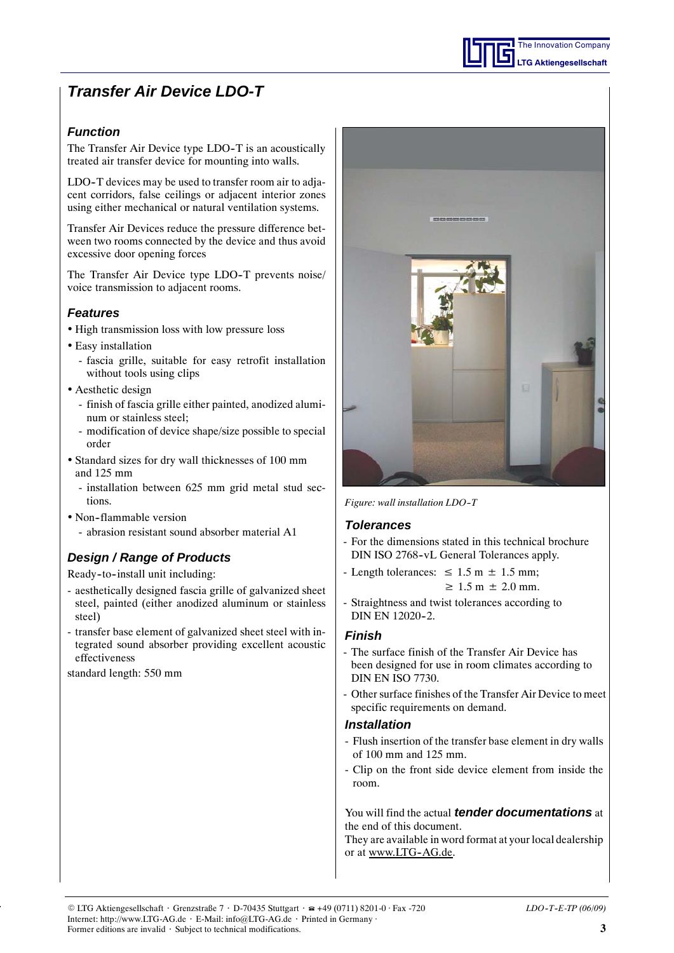## *Function*

The Transfer Air Device type LDO-T is an acoustically treated air transfer device for mounting into walls.

LDO-T devices may be used to transfer room air to adjacent corridors, false ceilings or adjacent interior zones using either mechanical or natural ventilation systems.

Transfer Air Devices reduce the pressure difference between two rooms connected by the device and thus avoid excessive door opening forces

The Transfer Air Device type LDO-T prevents noise/ voice transmission to adjacent rooms.

## *Features*

- High transmission loss with low pressure loss
- Easy installation
	- fascia grille, suitable for easy retrofit installation without tools using clips
- Aesthetic design
	- finish of fascia grille either painted, anodized aluminum or stainless steel;
	- modification of device shape/size possible to special order
- Standard sizes for dry wall thicknesses of 100 mm and 125 mm
	- installation between 625 mm grid metal stud sections.
- Non-flammable version
- abrasion resistant sound absorber material A1

## *Design / Range of Products*

Ready-to-install unit including:

- aesthetically designed fascia grille of galvanized sheet steel, painted (either anodized aluminum or stainless steel)
- transfer base element of galvanized sheet steel with integrated sound absorber providing excellent acoustic effectiveness

standard length: 550 mm



The Innovation Company **LTG Aktiengesellschaft**

*Figure: wall installation LDO--T*

### *Tolerances*

- For the dimensions stated in this technical brochure DIN ISO 2768-vL General Tolerances apply.
- Length tolerances:  $\leq 1.5$  m  $\pm 1.5$  mm;  $\geq 1.5$  m  $\pm 2.0$  mm.
- Straightness and twist tolerances according to DIN EN 12020-2.

### *Finish*

- The surface finish of the Transfer Air Device has been designed for use in room climates according to DIN EN ISO 7730.
- Other surface finishes of the Transfer Air Device to meet specific requirements on demand.

### *Installation*

- Flush insertion of the transfer base element in dry walls of 100 mm and 125 mm.
- Clip on the front side device element from inside the room.

You will find the actual *tender documentations* at the end of this document.

They are available in word format at your local dealership or at www.LTG-AG.de.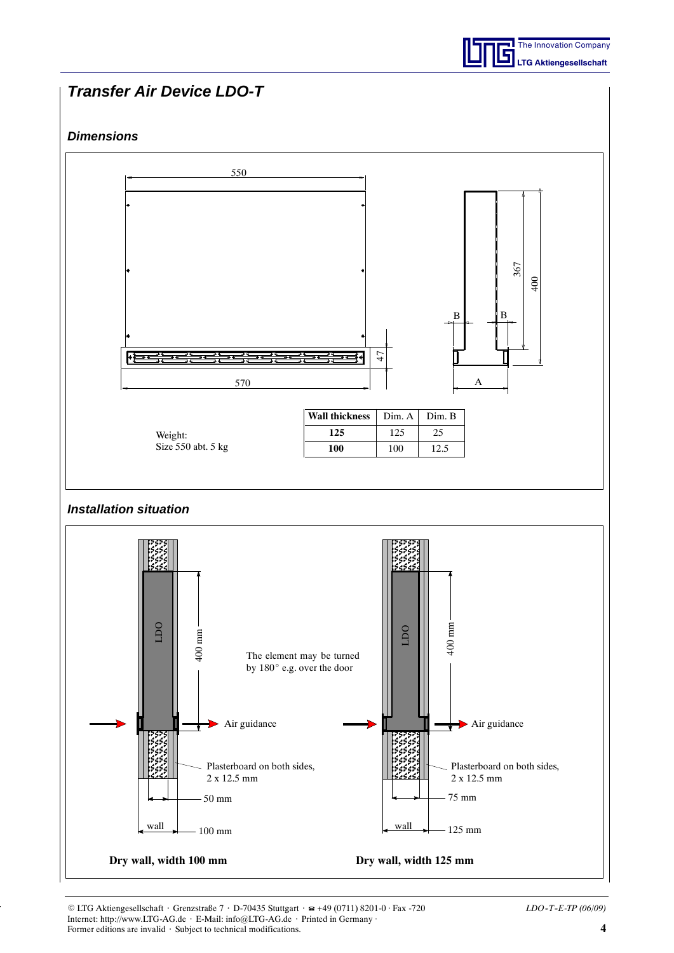

## *Dimensions*



E LTG Aktiengesellschaft ⋅ Grenzstraße 7 ⋅ D-70435 Stuttgart ⋅ +49 (0711) 8201-0 Fax -720 *LDO--T--E-TP (06/09)* Internet: http://www.LTG-AG.de ⋅ E-Mail: info@LTG-AG.de ⋅ Printed in Germany Former editions are invalid ⋅ Subject to technical modifications. **4**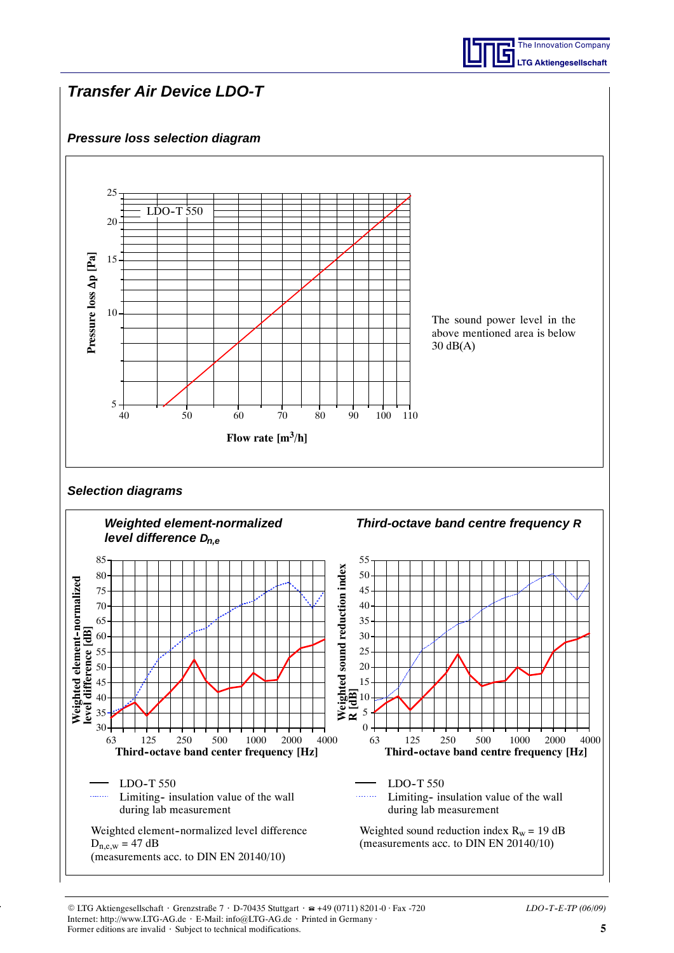## *Pressure loss selection diagram*

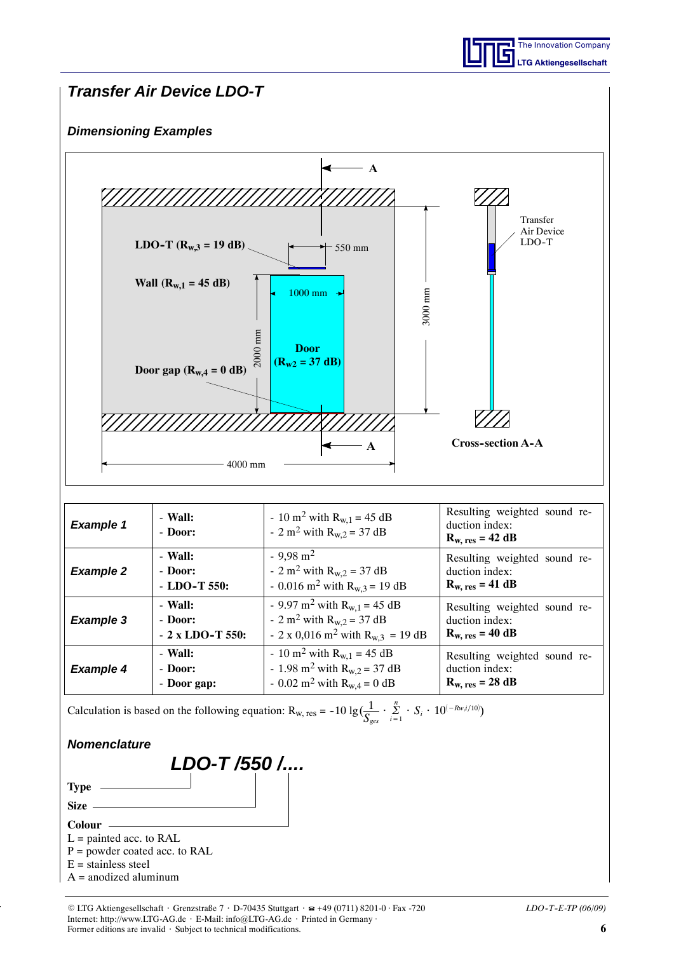

## *Dimensioning Examples*



| <b>Example 1</b> | - Wall:<br>- Door: | - 10 m <sup>2</sup> with $R_{w,1}$ = 45 dB<br>- 2 m <sup>2</sup> with $R_{w,2}$ = 37 dB | Resulting weighted sound re-<br>duction index:<br>$R_{w, res} = 42 dB$ |
|------------------|--------------------|-----------------------------------------------------------------------------------------|------------------------------------------------------------------------|
| <b>Example 2</b> | - Wall:            | $-9,98 \text{ m}^2$                                                                     | Resulting weighted sound re-                                           |
|                  | - Door:            | - 2 m <sup>2</sup> with $R_{w,2} = 37$ dB                                               | duction index:                                                         |
|                  | $-$ LDO-T 550:     | - 0.016 m <sup>2</sup> with $R_{w,3}$ = 19 dB                                           | $R_{w, res} = 41 dB$                                                   |
| <b>Example 3</b> | - Wall:            | - 9.97 m <sup>2</sup> with $R_{w,1}$ = 45 dB                                            | Resulting weighted sound re-                                           |
|                  | - Door:            | - 2 m <sup>2</sup> with $R_{w,2}$ = 37 dB                                               | duction index:                                                         |
|                  | $-2$ x LDO-T 550:  | - 2 x 0,016 m <sup>2</sup> with $R_{w,3}$ = 19 dB                                       | $R_{w, res} = 40 dB$                                                   |
| <b>Example 4</b> | - Wall:            | - 10 m <sup>2</sup> with $R_{w,1}$ = 45 dB                                              | Resulting weighted sound re-                                           |
|                  | - Door:            | - 1.98 m <sup>2</sup> with $R_{w,2}$ = 37 dB                                            | duction index:                                                         |
|                  | - Door gap:        | - 0.02 m <sup>2</sup> with $R_{w,4} = 0$ dB                                             | $R_{w, res} = 28 dB$                                                   |

Calculation is based on the following equation:  $R_{w, res} = -10 \lg \left( \frac{1}{S_{gas}} \cdot \sum_{i=1}^{n} \frac{1}{S_{gas}} \right)$  $\sum_{i=1}^{N} S_i \cdot 10^{(-Rw,i/10)}$ 

### *Nomenclature*



- $P =$  powder coated acc. to RAL
- $E =$ stainless steel
- $A =$  anodized aluminum

E LTG Aktiengesellschaft ⋅ Grenzstraße 7 ⋅ D-70435 Stuttgart ⋅ +49 (0711) 8201-0 Fax -720 *LDO--T--E-TP (06/09)* Internet: http://www.LTG-AG.de ⋅ E-Mail: info@LTG-AG.de ⋅ Printed in Germany Former editions are invalid ⋅ Subject to technical modifications. **6**